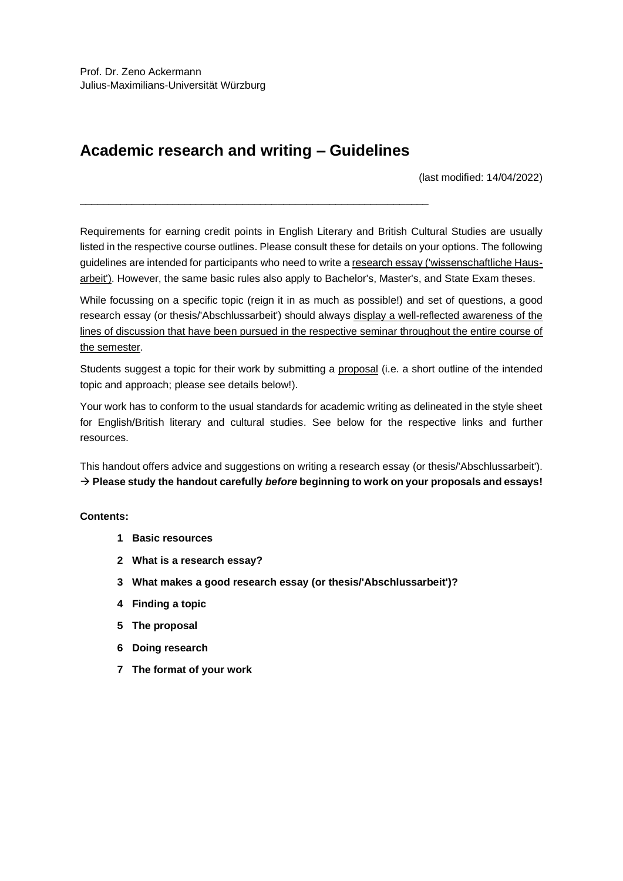# **Academic research and writing – Guidelines**

\_\_\_\_\_\_\_\_\_\_\_\_\_\_\_\_\_\_\_\_\_\_\_\_\_\_\_\_\_\_\_\_\_\_\_\_\_\_\_\_\_\_\_\_\_\_\_\_\_\_\_\_\_\_\_\_\_\_\_\_

(last modified: 14/04/2022)

Requirements for earning credit points in English Literary and British Cultural Studies are usually listed in the respective course outlines. Please consult these for details on your options. The following guidelines are intended for participants who need to write a research essay ('wissenschaftliche Hausarbeit'). However, the same basic rules also apply to Bachelor's, Master's, and State Exam theses.

While focussing on a specific topic (reign it in as much as possible!) and set of questions, a good research essay (or thesis/'Abschlussarbeit') should always display a well-reflected awareness of the lines of discussion that have been pursued in the respective seminar throughout the entire course of the semester.

Students suggest a topic for their work by submitting a proposal (i.e. a short outline of the intended topic and approach; please see details below!).

Your work has to conform to the usual standards for academic writing as delineated in the style sheet for English/British literary and cultural studies. See below for the respective links and further resources.

This handout offers advice and suggestions on writing a research essay (or thesis/'Abschlussarbeit'). → **Please study the handout carefully** *before* **beginning to work on your proposals and essays!**

# **Contents:**

- **1 Basic resources**
- **2 What is a research essay?**
- **3 What makes a good research essay (or thesis/'Abschlussarbeit')?**
- **4 Finding a topic**
- **5 The proposal**
- **6 Doing research**
- **7 The format of your work**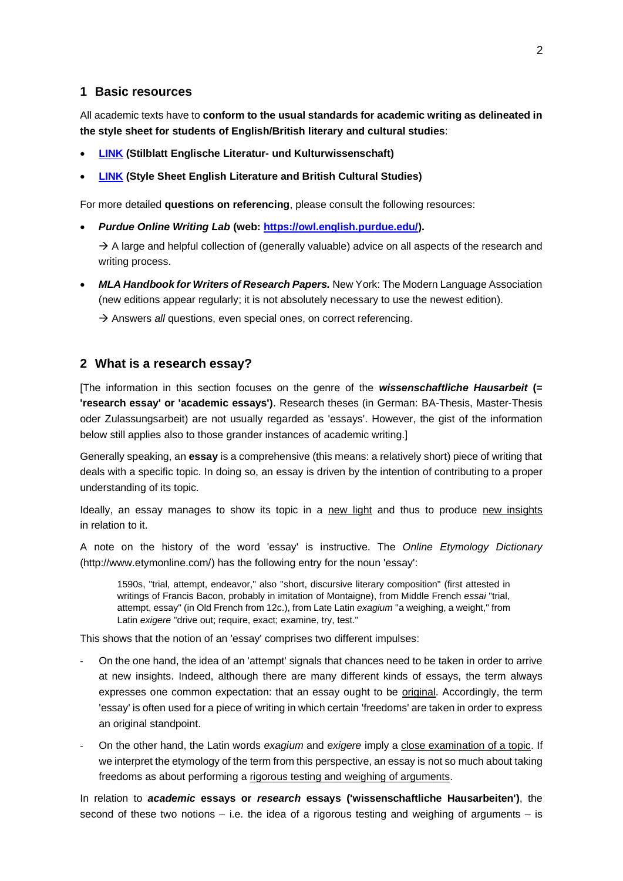## **1 Basic resources**

All academic texts have to **conform to the usual standards for academic writing as delineated in the style sheet for students of English/British literary and cultural studies**:

- **[LINK](https://www.neuphil.uni-wuerzburg.de/fileadmin/04110100/2022/Stilblatt_Anglistik_DEU_2022.pdf) (Stilblatt Englische Literatur- und Kulturwissenschaft)**
- **[LINK](https://www.neuphil.uni-wuerzburg.de/fileadmin/04110100/2022/Stilblatt_Anglistik_ENG_2022.pdf) (Style Sheet English Literature and British Cultural Studies)**

For more detailed **questions on referencing**, please consult the following resources:

• *Purdue Online Writing Lab* **(web: [https://owl.english.purdue.edu/\)](https://owl.english.purdue.edu/).**

 $\rightarrow$  A large and helpful collection of (generally valuable) advice on all aspects of the research and writing process.

• *MLA Handbook for Writers of Research Papers.* New York: The Modern Language Association (new editions appear regularly; it is not absolutely necessary to use the newest edition).

→ Answers *all* questions, even special ones, on correct referencing.

## **2 What is a research essay?**

[The information in this section focuses on the genre of the *wissenschaftliche Hausarbeit* **(= 'research essay' or 'academic essays')**. Research theses (in German: BA-Thesis, Master-Thesis oder Zulassungsarbeit) are not usually regarded as 'essays'. However, the gist of the information below still applies also to those grander instances of academic writing.]

Generally speaking, an **essay** is a comprehensive (this means: a relatively short) piece of writing that deals with a specific topic. In doing so, an essay is driven by the intention of contributing to a proper understanding of its topic.

Ideally, an essay manages to show its topic in a new light and thus to produce new insights in relation to it.

A note on the history of the word 'essay' is instructive. The *Online Etymology Dictionary* (http://www.etymonline.com/) has the following entry for the noun 'essay':

1590s, "trial, attempt, endeavor," also "short, discursive literary composition" (first attested in writings of Francis Bacon, probably in imitation of Montaigne), from Middle French *essai* "trial, attempt, essay" (in Old French from 12c.), from Late Latin *exagium* "a weighing, a weight," from Latin *exigere* "drive out; require, exact; examine, try, test."

This shows that the notion of an 'essay' comprises two different impulses:

- On the one hand, the idea of an 'attempt' signals that chances need to be taken in order to arrive at new insights. Indeed, although there are many different kinds of essays, the term always expresses one common expectation: that an essay ought to be original. Accordingly, the term 'essay' is often used for a piece of writing in which certain 'freedoms' are taken in order to express an original standpoint.
- On the other hand, the Latin words *exagium* and *exigere* imply a close examination of a topic. If we interpret the etymology of the term from this perspective, an essay is not so much about taking freedoms as about performing a rigorous testing and weighing of arguments.

In relation to *academic* **essays or** *research* **essays ('wissenschaftliche Hausarbeiten')**, the second of these two notions  $-$  i.e. the idea of a rigorous testing and weighing of arguments  $-$  is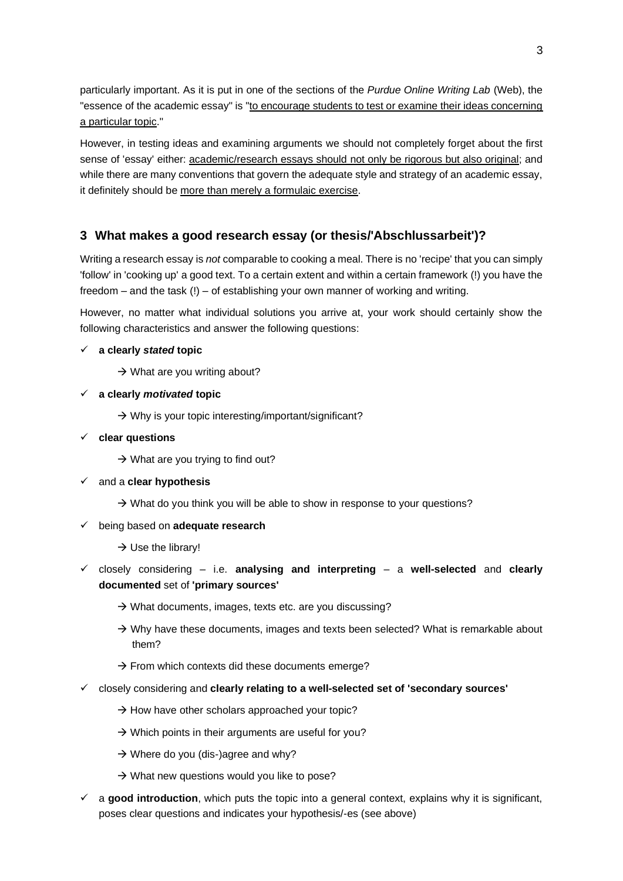particularly important. As it is put in one of the sections of the *Purdue Online Writing Lab* (Web), the "essence of the academic essay" is "to encourage students to test or examine their ideas concerning a particular topic."

However, in testing ideas and examining arguments we should not completely forget about the first sense of 'essay' either: academic/research essays should not only be rigorous but also original; and while there are many conventions that govern the adequate style and strategy of an academic essay, it definitely should be more than merely a formulaic exercise.

# **3 What makes a good research essay (or thesis/'Abschlussarbeit')?**

Writing a research essay is *not* comparable to cooking a meal. There is no 'recipe' that you can simply 'follow' in 'cooking up' a good text. To a certain extent and within a certain framework (!) you have the freedom – and the task (!) – of establishing your own manner of working and writing.

However, no matter what individual solutions you arrive at, your work should certainly show the following characteristics and answer the following questions:

# ✓ **a clearly** *stated* **topic**

- $\rightarrow$  What are you writing about?
- ✓ **a clearly** *motivated* **topic**
	- $\rightarrow$  Why is your topic interesting/important/significant?
- ✓ **clear questions** 
	- $\rightarrow$  What are you trying to find out?
- ✓ and a **clear hypothesis**
	- $\rightarrow$  What do you think you will be able to show in response to your questions?
- ✓ being based on **adequate research**
	- $\rightarrow$  Use the library!
- ✓ closely considering i.e. **analysing and interpreting** a **well-selected** and **clearly documented** set of **'primary sources'**
	- $\rightarrow$  What documents, images, texts etc. are you discussing?
	- $\rightarrow$  Why have these documents, images and texts been selected? What is remarkable about them?
	- $\rightarrow$  From which contexts did these documents emerge?
- ✓ closely considering and **clearly relating to a well-selected set of 'secondary sources'**
	- $\rightarrow$  How have other scholars approached your topic?
	- $\rightarrow$  Which points in their arguments are useful for you?
	- $\rightarrow$  Where do you (dis-)agree and why?
	- $\rightarrow$  What new questions would you like to pose?
- a **good introduction**, which puts the topic into a general context, explains why it is significant, poses clear questions and indicates your hypothesis/-es (see above)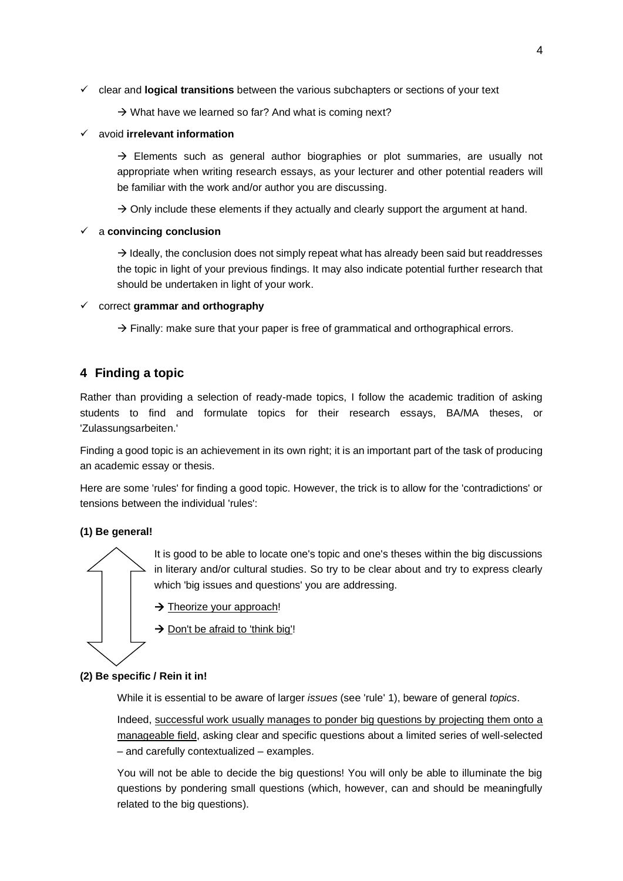- ✓ clear and **logical transitions** between the various subchapters or sections of your text
	- $\rightarrow$  What have we learned so far? And what is coming next?

#### ✓ avoid **irrelevant information**

 $\rightarrow$  Elements such as general author biographies or plot summaries, are usually not appropriate when writing research essays, as your lecturer and other potential readers will be familiar with the work and/or author you are discussing.

 $\rightarrow$  Only include these elements if they actually and clearly support the argument at hand.

## ✓ a **convincing conclusion**

 $\rightarrow$  Ideally, the conclusion does not simply repeat what has already been said but readdresses the topic in light of your previous findings. It may also indicate potential further research that should be undertaken in light of your work.

## ✓ correct **grammar and orthography**

 $\rightarrow$  Finally: make sure that your paper is free of grammatical and orthographical errors.

# **4 Finding a topic**

Rather than providing a selection of ready-made topics, I follow the academic tradition of asking students to find and formulate topics for their research essays, BA/MA theses, or 'Zulassungsarbeiten.'

Finding a good topic is an achievement in its own right; it is an important part of the task of producing an academic essay or thesis.

Here are some 'rules' for finding a good topic. However, the trick is to allow for the 'contradictions' or tensions between the individual 'rules':

# **(1) Be general!**

It is good to be able to locate one's topic and one's theses within the big discussions in literary and/or cultural studies. So try to be clear about and try to express clearly which 'big issues and questions' you are addressing.

- → Theorize your approach!
- $\rightarrow$  Don't be afraid to 'think big'!

#### **(2) Be specific / Rein it in!**

While it is essential to be aware of larger *issues* (see 'rule' 1), beware of general *topics*.

Indeed, successful work usually manages to ponder big questions by projecting them onto a manageable field, asking clear and specific questions about a limited series of well-selected – and carefully contextualized – examples.

You will not be able to decide the big questions! You will only be able to illuminate the big questions by pondering small questions (which, however, can and should be meaningfully related to the big questions).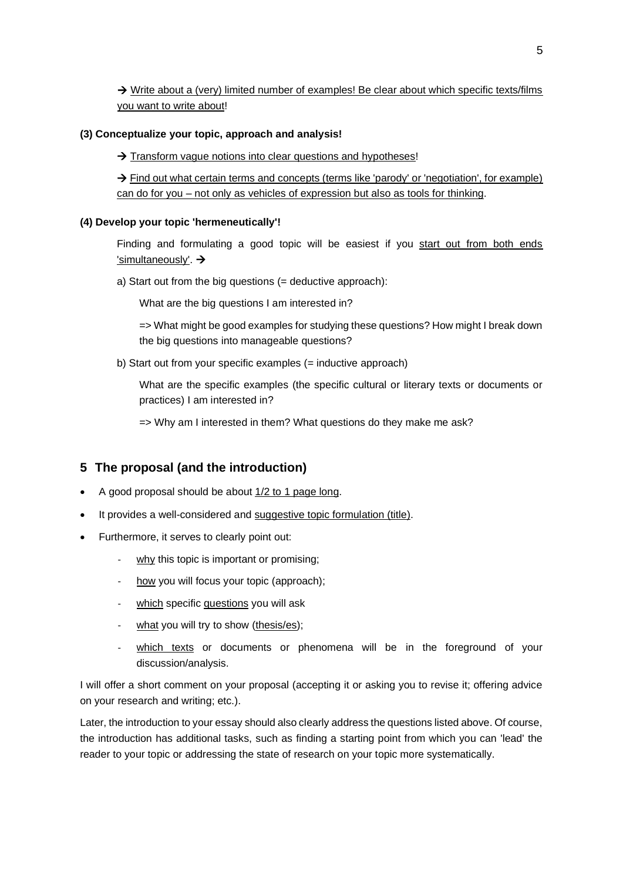$\rightarrow$  Write about a (very) limited number of examples! Be clear about which specific texts/films you want to write about!

## **(3) Conceptualize your topic, approach and analysis!**

 $\rightarrow$  Transform vague notions into clear questions and hypotheses!

 $\rightarrow$  Find out what certain terms and concepts (terms like 'parody' or 'negotiation', for example) can do for you – not only as vehicles of expression but also as tools for thinking.

## **(4) Develop your topic 'hermeneutically'!**

Finding and formulating a good topic will be easiest if you start out from both ends 'simultaneously'. →

a) Start out from the big questions (= deductive approach):

What are the big questions I am interested in?

=> What might be good examples for studying these questions? How might I break down the big questions into manageable questions?

b) Start out from your specific examples (= inductive approach)

What are the specific examples (the specific cultural or literary texts or documents or practices) I am interested in?

=> Why am I interested in them? What questions do they make me ask?

# **5 The proposal (and the introduction)**

- A good proposal should be about 1/2 to 1 page long.
- It provides a well-considered and suggestive topic formulation (title).
- Furthermore, it serves to clearly point out:
	- why this topic is important or promising;
	- how you will focus your topic (approach);
	- which specific questions you will ask
	- what you will try to show (thesis/es);
	- which texts or documents or phenomena will be in the foreground of your discussion/analysis.

I will offer a short comment on your proposal (accepting it or asking you to revise it; offering advice on your research and writing; etc.).

Later, the introduction to your essay should also clearly address the questions listed above. Of course, the introduction has additional tasks, such as finding a starting point from which you can 'lead' the reader to your topic or addressing the state of research on your topic more systematically.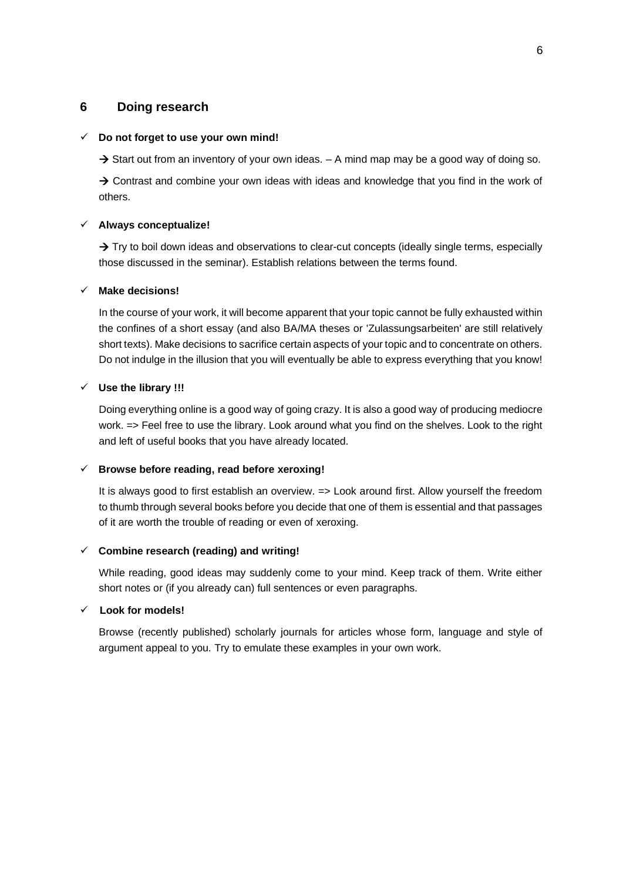# **6 Doing research**

#### ✓ **Do not forget to use your own mind!**

 $\rightarrow$  Start out from an inventory of your own ideas.  $-$  A mind map may be a good way of doing so.

 $\rightarrow$  Contrast and combine your own ideas with ideas and knowledge that you find in the work of others.

#### ✓ **Always conceptualize!**

 $\rightarrow$  Try to boil down ideas and observations to clear-cut concepts (ideally single terms, especially those discussed in the seminar). Establish relations between the terms found.

#### ✓ **Make decisions!**

In the course of your work, it will become apparent that your topic cannot be fully exhausted within the confines of a short essay (and also BA/MA theses or 'Zulassungsarbeiten' are still relatively short texts). Make decisions to sacrifice certain aspects of your topic and to concentrate on others. Do not indulge in the illusion that you will eventually be able to express everything that you know!

#### ✓ **Use the library !!!**

Doing everything online is a good way of going crazy. It is also a good way of producing mediocre work. => Feel free to use the library. Look around what you find on the shelves. Look to the right and left of useful books that you have already located.

#### ✓ **Browse before reading, read before xeroxing!**

It is always good to first establish an overview. => Look around first. Allow yourself the freedom to thumb through several books before you decide that one of them is essential and that passages of it are worth the trouble of reading or even of xeroxing.

#### ✓ **Combine research (reading) and writing!**

While reading, good ideas may suddenly come to your mind. Keep track of them. Write either short notes or (if you already can) full sentences or even paragraphs.

## ✓ **Look for models!**

Browse (recently published) scholarly journals for articles whose form, language and style of argument appeal to you. Try to emulate these examples in your own work.